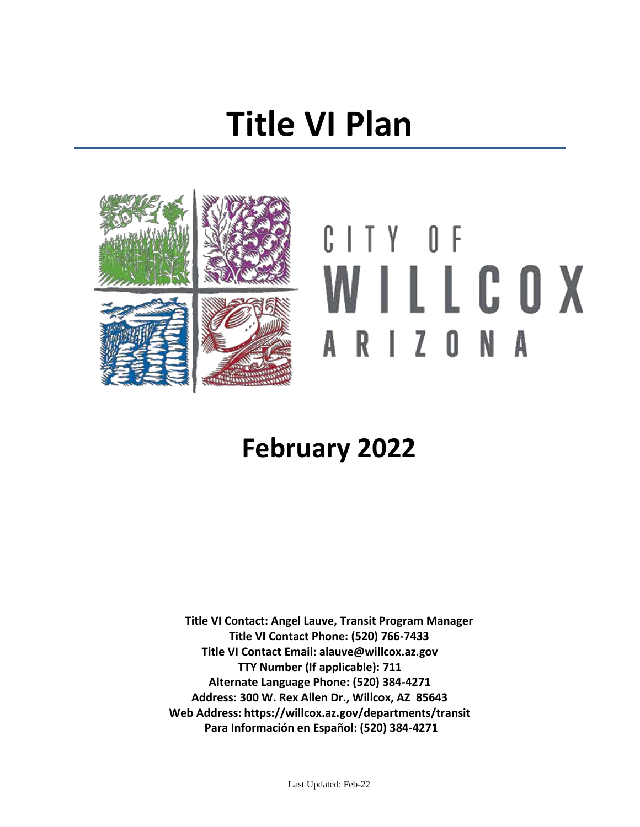## **Title VI Plan**

<span id="page-0-0"></span>

# CITY OF WILLCOX ARIZONA

### **February 2022**

**Title VI Contact: Angel Lauve, Transit Program Manager Title VI Contact Phone: (520) 766-7433 Title VI Contact Email: alauve@willcox.az.gov TTY Number (If applicable): 711 Alternate Language Phone: (520) 384-4271 Address: 300 W. Rex Allen Dr., Willcox, AZ 85643 Web Address: https://willcox.az.gov/departments/transit Para Información en Español: (520) 384-4271**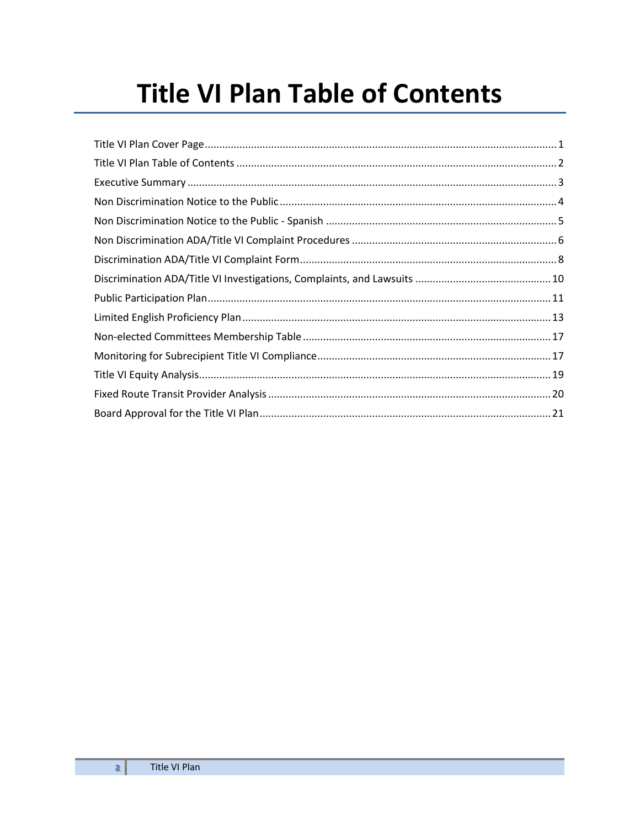### <span id="page-1-0"></span>**Title VI Plan Table of Contents**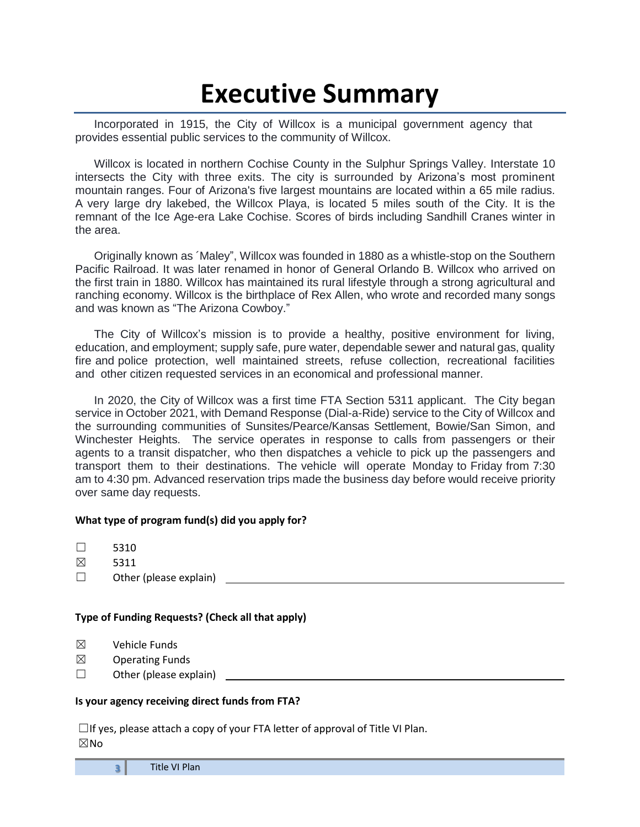### **Executive Summary**

<span id="page-2-0"></span>Incorporated in 1915, the City of Willcox is a municipal government agency that provides essential public services to the community of Willcox.

Willcox is located in northern Cochise County in the Sulphur Springs Valley. Interstate 10 intersects the City with three exits. The city is surrounded by Arizona's most prominent mountain ranges. Four of Arizona's five largest mountains are located within a 65 mile radius. A very large dry lakebed, the Willcox Playa, is located 5 miles south of the City. It is the remnant of the Ice Age-era Lake Cochise. Scores of birds including Sandhill Cranes winter in the area.

Originally known as ´Maley", Willcox was founded in 1880 as a whistle-stop on the Southern Pacific Railroad. It was later renamed in honor of General Orlando B. Willcox who arrived on the first train in 1880. Willcox has maintained its rural lifestyle through a strong agricultural and ranching economy. Willcox is the birthplace of Rex Allen, who wrote and recorded many songs and was known as "The Arizona Cowboy."

The City of Willcox's mission is to provide a healthy, positive environment for living, education, and employment; supply safe, pure water, dependable sewer and natural gas, quality fire and police protection, well maintained streets, refuse collection, recreational facilities and other citizen requested services in an economical and professional manner.

In 2020, the City of Willcox was a first time FTA Section 5311 applicant. The City began service in October 2021, with Demand Response (Dial-a-Ride) service to the City of Willcox and the surrounding communities of Sunsites/Pearce/Kansas Settlement, Bowie/San Simon, and Winchester Heights. The service operates in response to calls from passengers or their agents to a transit dispatcher, who then dispatches a vehicle to pick up the passengers and transport them to their destinations. The vehicle will operate Monday to Friday from 7:30 am to 4:30 pm. Advanced reservation trips made the business day before would receive priority over same day requests.

#### **What type of program fund(s) did you apply for?**

 $\square$  5310

- ☒ 5311
- $\Box$  Other (please explain)

#### **Type of Funding Requests? (Check all that apply)**

- $<sup>2</sup>$  Vehicle Funds</sup>
- $\boxtimes$  Operating Funds
- $\Box$  Other (please explain)

#### **Is your agency receiving direct funds from FTA?**

 $\Box$ If yes, please attach a copy of your FTA letter of approval of Title VI Plan.  $\boxtimes$ No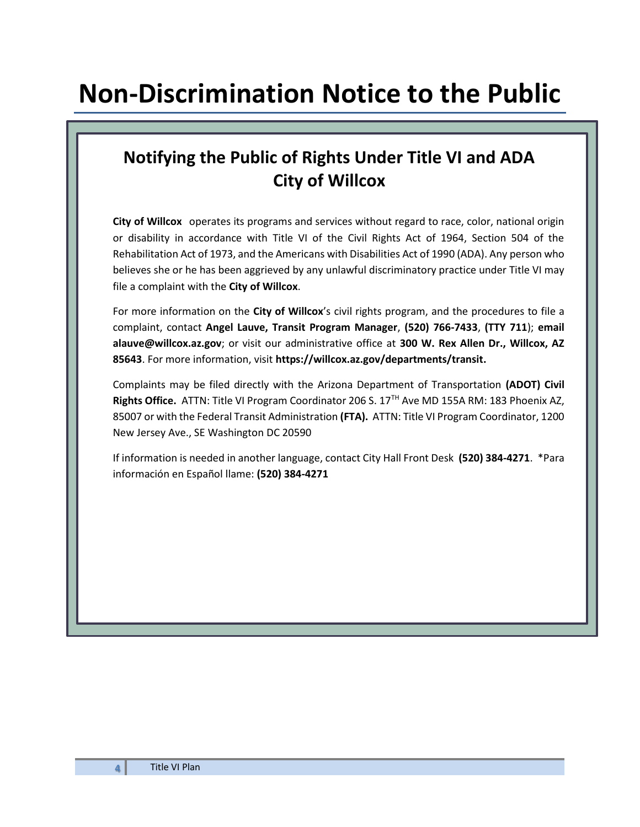### <span id="page-3-0"></span>**Non-Discrimination Notice to the Public**

### **Notifying the Public of Rights Under Title VI and ADA City of Willcox**

**City of Willcox** operates its programs and services without regard to race, color, national origin or disability in accordance with Title VI of the Civil Rights Act of 1964, Section 504 of the Rehabilitation Act of 1973, and the Americans with Disabilities Act of 1990 (ADA). Any person who believes she or he has been aggrieved by any unlawful discriminatory practice under Title VI may file a complaint with the **City of Willcox**.

For more information on the **City of Willcox**'s civil rights program, and the procedures to file a complaint, contact **Angel Lauve, Transit Program Manager**, **(520) 766-7433**, **(TTY 711**); **email alauve@willcox.az.gov**; or visit our administrative office at **300 W. Rex Allen Dr., Willcox, AZ 85643**. For more information, visit **https://willcox.az.gov/departments/transit.** 

Complaints may be filed directly with the Arizona Department of Transportation **(ADOT) Civil**  Rights Office. ATTN: Title VI Program Coordinator 206 S. 17<sup>TH</sup> Ave MD 155A RM: 183 Phoenix AZ, 85007 or with the Federal Transit Administration **(FTA).** ATTN: Title VI Program Coordinator, 1200 New Jersey Ave., SE Washington DC 20590

If information is needed in another language, contact City Hall Front Desk **(520) 384-4271**. \*Para información en Español llame: **(520) 384-4271**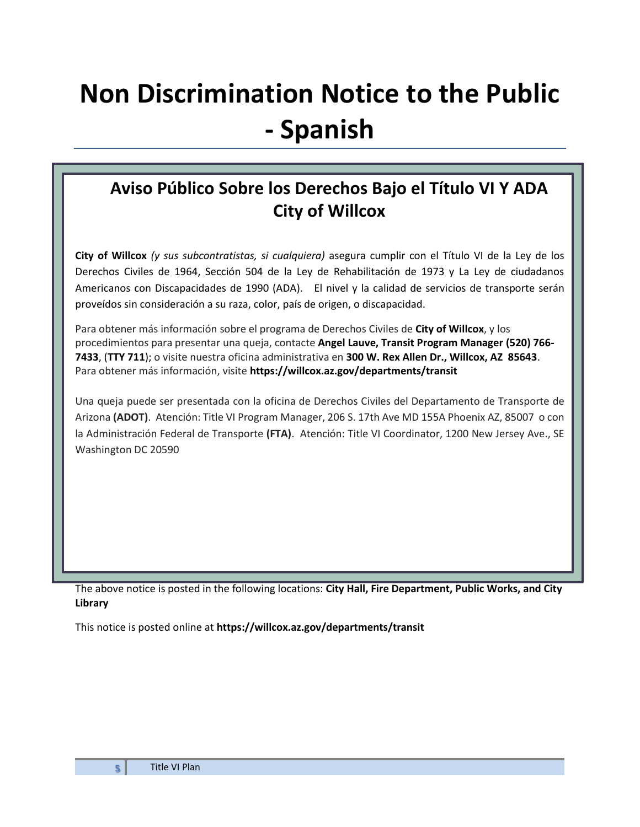### <span id="page-4-0"></span>**Non Discrimination Notice to the Public - Spanish**

### **Aviso Público Sobre los Derechos Bajo el Título VI Y ADA City of Willcox**

**City of Willcox** *(y sus subcontratistas, si cualquiera)* asegura cumplir con el Título VI de la Ley de los Derechos Civiles de 1964, Sección 504 de la Ley de Rehabilitación de 1973 y La Ley de ciudadanos Americanos con Discapacidades de 1990 (ADA). El nivel y la calidad de servicios de transporte serán proveídos sin consideración a su raza, color, país de origen, o discapacidad.

Para obtener más información sobre el programa de Derechos Civiles de **City of Willcox**, y los procedimientos para presentar una queja, contacte **Angel Lauve, Transit Program Manager (520) 766- 7433**, (**TTY 711**); o visite nuestra oficina administrativa en **300 W. Rex Allen Dr., Willcox, AZ 85643**. Para obtener más información, visite **https://willcox.az.gov/departments/transit**

Una queja puede ser presentada con la oficina de Derechos Civiles del Departamento de Transporte de Arizona **(ADOT)**. Atención: Title VI Program Manager, 206 S. 17th Ave MD 155A Phoenix AZ, 85007 o con la Administración Federal de Transporte **(FTA)**. Atención: Title VI Coordinator, 1200 New Jersey Ave., SE Washington DC 20590

The above notice is posted in the following locations: **City Hall, Fire Department, Public Works, and City Library**

This notice is posted online at **https://willcox.az.gov/departments/transit**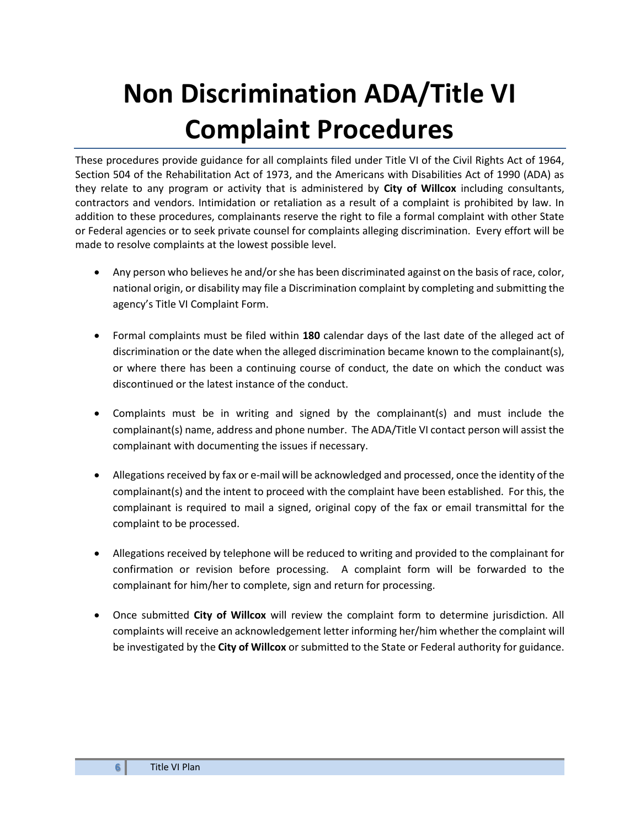## <span id="page-5-0"></span>**Non Discrimination ADA/Title VI Complaint Procedures**

These procedures provide guidance for all complaints filed under Title VI of the Civil Rights Act of 1964, Section 504 of the Rehabilitation Act of 1973, and the Americans with Disabilities Act of 1990 (ADA) as they relate to any program or activity that is administered by **City of Willcox** including consultants, contractors and vendors. Intimidation or retaliation as a result of a complaint is prohibited by law. In addition to these procedures, complainants reserve the right to file a formal complaint with other State or Federal agencies or to seek private counsel for complaints alleging discrimination. Every effort will be made to resolve complaints at the lowest possible level.

- Any person who believes he and/or she has been discriminated against on the basis of race, color, national origin, or disability may file a Discrimination complaint by completing and submitting the agency's Title VI Complaint Form.
- Formal complaints must be filed within **180** calendar days of the last date of the alleged act of discrimination or the date when the alleged discrimination became known to the complainant(s), or where there has been a continuing course of conduct, the date on which the conduct was discontinued or the latest instance of the conduct.
- Complaints must be in writing and signed by the complainant(s) and must include the complainant(s) name, address and phone number. The ADA/Title VI contact person will assist the complainant with documenting the issues if necessary.
- Allegations received by fax or e-mail will be acknowledged and processed, once the identity of the complainant(s) and the intent to proceed with the complaint have been established. For this, the complainant is required to mail a signed, original copy of the fax or email transmittal for the complaint to be processed.
- Allegations received by telephone will be reduced to writing and provided to the complainant for confirmation or revision before processing. A complaint form will be forwarded to the complainant for him/her to complete, sign and return for processing.
- Once submitted **City of Willcox** will review the complaint form to determine jurisdiction. All complaints will receive an acknowledgement letter informing her/him whether the complaint will be investigated by the **City of Willcox** or submitted to the State or Federal authority for guidance.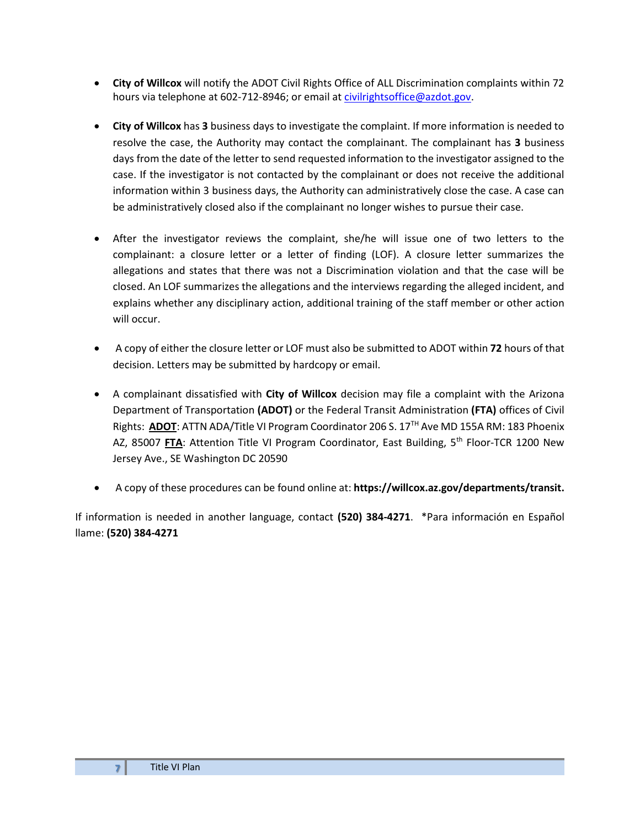- **City of Willcox** will notify the ADOT Civil Rights Office of ALL Discrimination complaints within 72 hours via telephone at 602-712-8946; or email a[t civilrightsoffice@azdot.gov.](mailto:civilrightsoffice@azdot.gov)
- **City of Willcox** has **3** business days to investigate the complaint. If more information is needed to resolve the case, the Authority may contact the complainant. The complainant has **3** business days from the date of the letter to send requested information to the investigator assigned to the case. If the investigator is not contacted by the complainant or does not receive the additional information within 3 business days, the Authority can administratively close the case. A case can be administratively closed also if the complainant no longer wishes to pursue their case.
- After the investigator reviews the complaint, she/he will issue one of two letters to the complainant: a closure letter or a letter of finding (LOF). A closure letter summarizes the allegations and states that there was not a Discrimination violation and that the case will be closed. An LOF summarizes the allegations and the interviews regarding the alleged incident, and explains whether any disciplinary action, additional training of the staff member or other action will occur.
- A copy of either the closure letter or LOF must also be submitted to ADOT within **72** hours of that decision. Letters may be submitted by hardcopy or email.
- A complainant dissatisfied with **City of Willcox** decision may file a complaint with the Arizona Department of Transportation **(ADOT)** or the Federal Transit Administration **(FTA)** offices of Civil Rights: **ADOT**: ATTN ADA/Title VI Program Coordinator 206 S. 17TH Ave MD 155A RM: 183 Phoenix AZ, 85007 FTA: Attention Title VI Program Coordinator, East Building, 5<sup>th</sup> Floor-TCR 1200 New Jersey Ave., SE Washington DC 20590
- A copy of these procedures can be found online at: **https://willcox.az.gov/departments/transit.**

If information is needed in another language, contact **(520) 384-4271**. \*Para información en Español llame: **(520) 384-4271**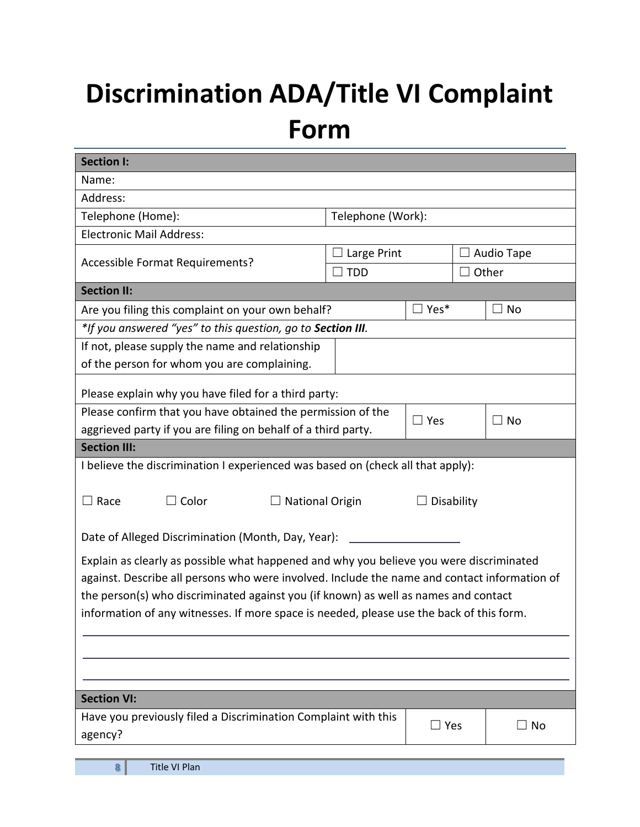## <span id="page-7-0"></span>**Discrimination ADA/Title VI Complaint Form**

| Name:<br>Address:<br>Telephone (Home):<br>Telephone (Work):<br><b>Electronic Mail Address:</b><br>Large Print<br>Audio Tape<br>Accessible Format Requirements?<br>Other<br><b>TDD</b><br><b>Section II:</b><br>$\square$ Yes*<br>Are you filing this complaint on your own behalf?<br>$\square$ No |  |  |  |  |  |  |
|----------------------------------------------------------------------------------------------------------------------------------------------------------------------------------------------------------------------------------------------------------------------------------------------------|--|--|--|--|--|--|
|                                                                                                                                                                                                                                                                                                    |  |  |  |  |  |  |
|                                                                                                                                                                                                                                                                                                    |  |  |  |  |  |  |
|                                                                                                                                                                                                                                                                                                    |  |  |  |  |  |  |
|                                                                                                                                                                                                                                                                                                    |  |  |  |  |  |  |
|                                                                                                                                                                                                                                                                                                    |  |  |  |  |  |  |
|                                                                                                                                                                                                                                                                                                    |  |  |  |  |  |  |
|                                                                                                                                                                                                                                                                                                    |  |  |  |  |  |  |
|                                                                                                                                                                                                                                                                                                    |  |  |  |  |  |  |
| *If you answered "yes" to this question, go to Section III.                                                                                                                                                                                                                                        |  |  |  |  |  |  |
| If not, please supply the name and relationship                                                                                                                                                                                                                                                    |  |  |  |  |  |  |
| of the person for whom you are complaining.                                                                                                                                                                                                                                                        |  |  |  |  |  |  |
| Please explain why you have filed for a third party:                                                                                                                                                                                                                                               |  |  |  |  |  |  |
| Please confirm that you have obtained the permission of the                                                                                                                                                                                                                                        |  |  |  |  |  |  |
| $\Box$ Yes<br>$\square$ No<br>aggrieved party if you are filing on behalf of a third party.                                                                                                                                                                                                        |  |  |  |  |  |  |
| <b>Section III:</b>                                                                                                                                                                                                                                                                                |  |  |  |  |  |  |
| I believe the discrimination I experienced was based on (check all that apply):                                                                                                                                                                                                                    |  |  |  |  |  |  |
|                                                                                                                                                                                                                                                                                                    |  |  |  |  |  |  |
| $\Box$ Race<br>$\Box$ Color<br><b>National Origin</b><br>Disability                                                                                                                                                                                                                                |  |  |  |  |  |  |
|                                                                                                                                                                                                                                                                                                    |  |  |  |  |  |  |
| Date of Alleged Discrimination (Month, Day, Year):                                                                                                                                                                                                                                                 |  |  |  |  |  |  |
| Explain as clearly as possible what happened and why you believe you were discriminated                                                                                                                                                                                                            |  |  |  |  |  |  |
| against. Describe all persons who were involved. Include the name and contact information of                                                                                                                                                                                                       |  |  |  |  |  |  |
| the person(s) who discriminated against you (if known) as well as names and contact                                                                                                                                                                                                                |  |  |  |  |  |  |
| information of any witnesses. If more space is needed, please use the back of this form.                                                                                                                                                                                                           |  |  |  |  |  |  |
|                                                                                                                                                                                                                                                                                                    |  |  |  |  |  |  |
|                                                                                                                                                                                                                                                                                                    |  |  |  |  |  |  |
|                                                                                                                                                                                                                                                                                                    |  |  |  |  |  |  |
|                                                                                                                                                                                                                                                                                                    |  |  |  |  |  |  |
| <b>Section VI:</b>                                                                                                                                                                                                                                                                                 |  |  |  |  |  |  |
| Have you previously filed a Discrimination Complaint with this<br>$\square$ Yes<br>$\Box$ No                                                                                                                                                                                                       |  |  |  |  |  |  |
| agency?                                                                                                                                                                                                                                                                                            |  |  |  |  |  |  |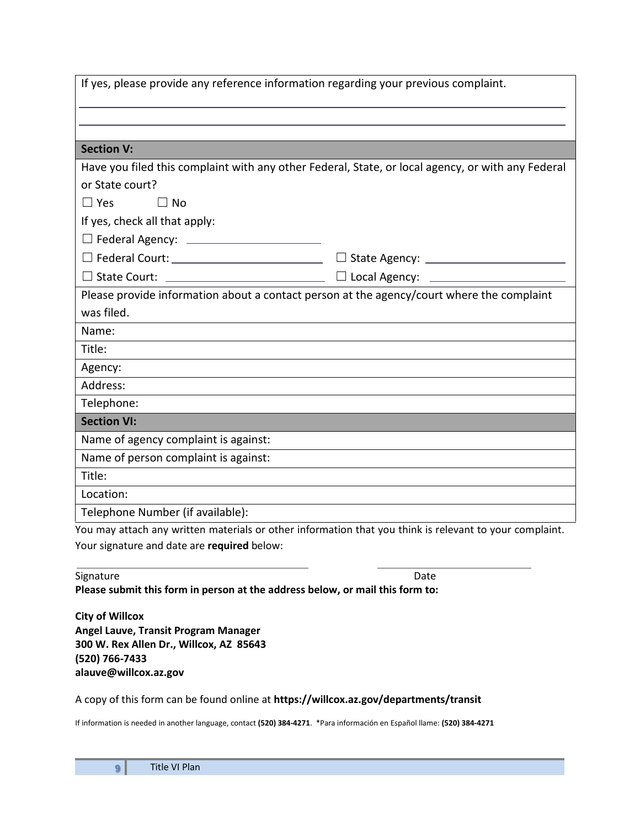| If yes, please provide any reference information regarding your previous complaint.                                            |                                                                                                   |  |  |  |  |  |
|--------------------------------------------------------------------------------------------------------------------------------|---------------------------------------------------------------------------------------------------|--|--|--|--|--|
|                                                                                                                                |                                                                                                   |  |  |  |  |  |
|                                                                                                                                |                                                                                                   |  |  |  |  |  |
| <b>Section V:</b>                                                                                                              |                                                                                                   |  |  |  |  |  |
|                                                                                                                                | Have you filed this complaint with any other Federal, State, or local agency, or with any Federal |  |  |  |  |  |
| or State court?                                                                                                                |                                                                                                   |  |  |  |  |  |
| $\Box$ Yes<br>$\Box$ No                                                                                                        |                                                                                                   |  |  |  |  |  |
| If yes, check all that apply:                                                                                                  |                                                                                                   |  |  |  |  |  |
| □ Federal Agency: <u>_____________________</u>                                                                                 |                                                                                                   |  |  |  |  |  |
|                                                                                                                                | □ State Agency: <u>___________________</u>                                                        |  |  |  |  |  |
|                                                                                                                                |                                                                                                   |  |  |  |  |  |
| Please provide information about a contact person at the agency/court where the complaint                                      |                                                                                                   |  |  |  |  |  |
| was filed.                                                                                                                     |                                                                                                   |  |  |  |  |  |
| Name:                                                                                                                          |                                                                                                   |  |  |  |  |  |
| Title:<br><u> 1989 - Johann Barbara, marka a shekara tsa 1989 - An tsa 1989 - An tsa 1989 - An tsa 1989 - An tsa 1989 - An</u> |                                                                                                   |  |  |  |  |  |
| Agency:                                                                                                                        |                                                                                                   |  |  |  |  |  |
| Address:<br>and the control of the control of the control of the control of the control of the control of the control of the   |                                                                                                   |  |  |  |  |  |
| Telephone:                                                                                                                     |                                                                                                   |  |  |  |  |  |
| <b>Section VI:</b>                                                                                                             |                                                                                                   |  |  |  |  |  |
| Name of agency complaint is against:                                                                                           |                                                                                                   |  |  |  |  |  |
| Name of person complaint is against:                                                                                           |                                                                                                   |  |  |  |  |  |
| Title:                                                                                                                         |                                                                                                   |  |  |  |  |  |
| Location:                                                                                                                      |                                                                                                   |  |  |  |  |  |
| Telephone Number (if available):                                                                                               |                                                                                                   |  |  |  |  |  |
| You may attach any written materials or other information that you think is relevant to your complaint.                        |                                                                                                   |  |  |  |  |  |

Your signature and date are **required** below:

| Signature                                                                     | Date |
|-------------------------------------------------------------------------------|------|
| Please submit this form in person at the address below, or mail this form to: |      |

**City of Willcox Angel Lauve, Transit Program Manager 300 W. Rex Allen Dr., Willcox, AZ 85643 (520) 766-7433 alauve@willcox.az.gov**

#### A copy of this form can be found online at **https://willcox.az.gov/departments/transit**

If information is needed in another language, contact **(520) 384-4271**. \*Para información en Español llame: **(520) 384-4271**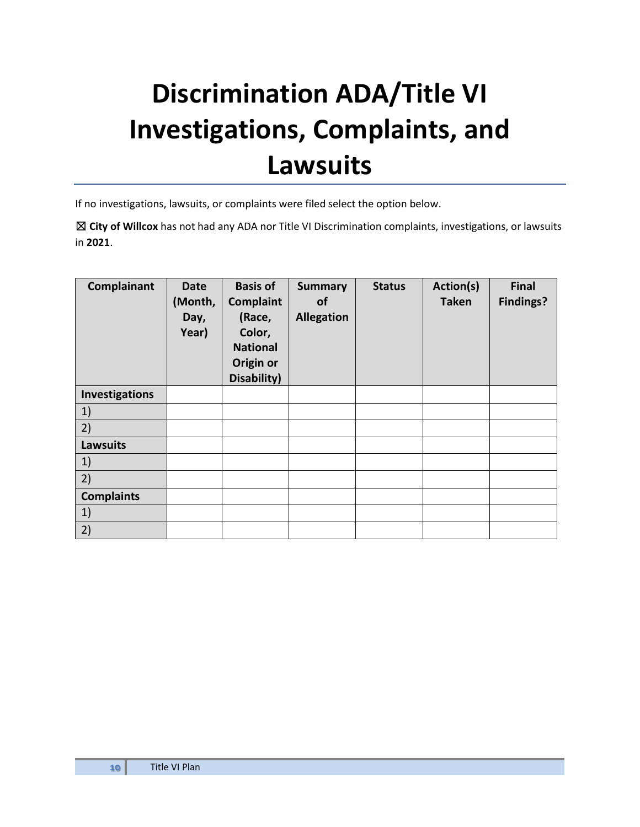### <span id="page-9-0"></span>**Discrimination ADA/Title VI Investigations, Complaints, and Lawsuits**

If no investigations, lawsuits, or complaints were filed select the option below.

☒ **City of Willcox** has not had any ADA nor Title VI Discrimination complaints, investigations, or lawsuits in **2021**.

| Complainant       | <b>Date</b><br>(Month,<br>Day,<br>Year) | <b>Basis of</b><br>Complaint<br>(Race,<br>Color,<br><b>National</b><br>Origin or<br>Disability) | <b>Summary</b><br><b>of</b><br><b>Allegation</b> | <b>Status</b> | Action(s)<br><b>Taken</b> | <b>Final</b><br><b>Findings?</b> |
|-------------------|-----------------------------------------|-------------------------------------------------------------------------------------------------|--------------------------------------------------|---------------|---------------------------|----------------------------------|
| Investigations    |                                         |                                                                                                 |                                                  |               |                           |                                  |
| 1)                |                                         |                                                                                                 |                                                  |               |                           |                                  |
| 2)                |                                         |                                                                                                 |                                                  |               |                           |                                  |
| <b>Lawsuits</b>   |                                         |                                                                                                 |                                                  |               |                           |                                  |
| 1)                |                                         |                                                                                                 |                                                  |               |                           |                                  |
| 2)                |                                         |                                                                                                 |                                                  |               |                           |                                  |
| <b>Complaints</b> |                                         |                                                                                                 |                                                  |               |                           |                                  |
| 1)                |                                         |                                                                                                 |                                                  |               |                           |                                  |
| 2)                |                                         |                                                                                                 |                                                  |               |                           |                                  |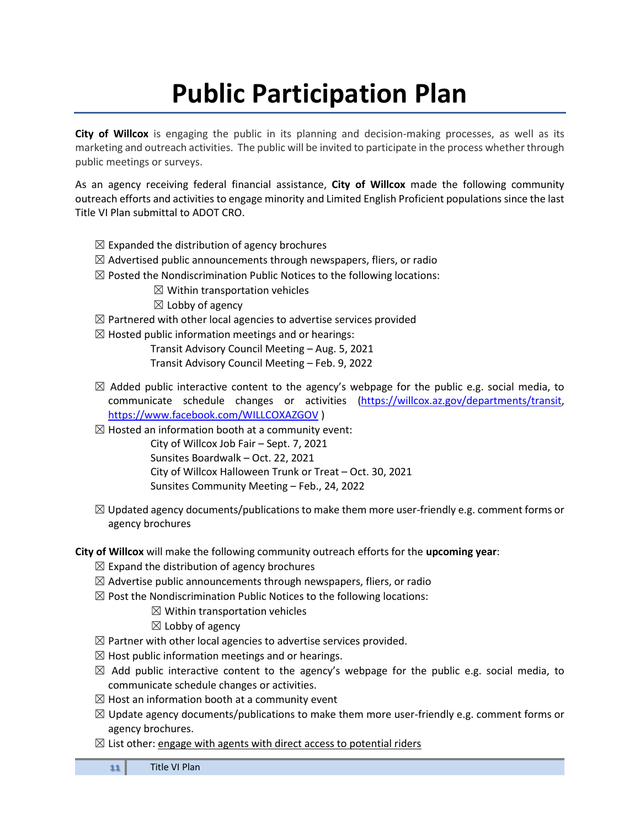### **Public Participation Plan**

<span id="page-10-0"></span>**City of Willcox** is engaging the public in its planning and decision-making processes, as well as its marketing and outreach activities. The public will be invited to participate in the process whether through public meetings or surveys.

As an agency receiving federal financial assistance, **City of Willcox** made the following community outreach efforts and activities to engage minority and Limited English Proficient populations since the last Title VI Plan submittal to ADOT CRO.

- $\boxtimes$  Expanded the distribution of agency brochures
- $\boxtimes$  Advertised public announcements through newspapers, fliers, or radio
- $\boxtimes$  Posted the Nondiscrimination Public Notices to the following locations:
	- $\boxtimes$  Within transportation vehicles
	- $\boxtimes$  Lobby of agency
- $\boxtimes$  Partnered with other local agencies to advertise services provided
- $\boxtimes$  Hosted public information meetings and or hearings:
	- Transit Advisory Council Meeting Aug. 5, 2021

Transit Advisory Council Meeting – Feb. 9, 2022

- $\boxtimes$  Added public interactive content to the agency's webpage for the public e.g. social media, to communicate schedule changes or activities [\(https://willcox.az.gov/departments/transit,](https://willcox.az.gov/departments/transit) <https://www.facebook.com/WILLCOXAZGOV> )
- $\boxtimes$  Hosted an information booth at a community event:
	- City of Willcox Job Fair Sept. 7, 2021 Sunsites Boardwalk – Oct. 22, 2021 City of Willcox Halloween Trunk or Treat – Oct. 30, 2021 Sunsites Community Meeting – Feb., 24, 2022
- $\boxtimes$  Updated agency documents/publications to make them more user-friendly e.g. comment forms or agency brochures
- **City of Willcox** will make the following community outreach efforts for the **upcoming year**:
	- $\boxtimes$  Expand the distribution of agency brochures
	- $\boxtimes$  Advertise public announcements through newspapers, fliers, or radio
	- $\boxtimes$  Post the Nondiscrimination Public Notices to the following locations:
		- $\boxtimes$  Within transportation vehicles
		- $\boxtimes$  Lobby of agency
	- $\boxtimes$  Partner with other local agencies to advertise services provided.
	- $\boxtimes$  Host public information meetings and or hearings.
	- $\boxtimes$  Add public interactive content to the agency's webpage for the public e.g. social media, to communicate schedule changes or activities.
	- $\boxtimes$  Host an information booth at a community event
	- $\boxtimes$  Update agency documents/publications to make them more user-friendly e.g. comment forms or agency brochures.
	- $\boxtimes$  List other: engage with agents with direct access to potential riders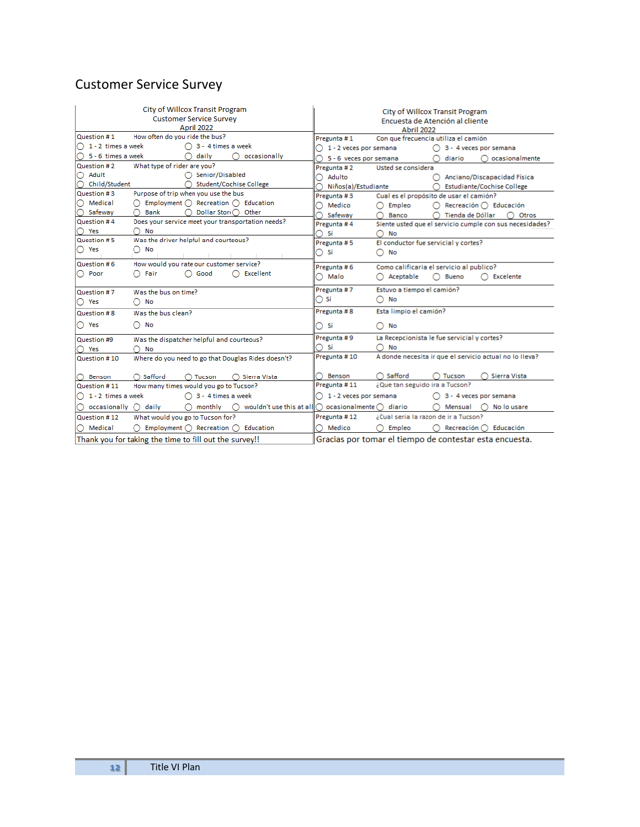### Customer Service Survey

<span id="page-11-0"></span>

|                                                                                                      | City of Willcox Transit Program<br><b>Customer Service Survey</b><br>April 2022                                      | City of Willcox Transit Program<br>Encuesta de Atención al cliente<br>Abril 2022 |                                                                     |  |
|------------------------------------------------------------------------------------------------------|----------------------------------------------------------------------------------------------------------------------|----------------------------------------------------------------------------------|---------------------------------------------------------------------|--|
| How often do you ride the bus?<br>Question #1<br>Con que frecuencia utiliza el camión<br>Pregunta #1 |                                                                                                                      |                                                                                  |                                                                     |  |
| $\bigcap$ 1 - 2 times a week                                                                         | $\bigcap$ 3 - 4 times a week                                                                                         | $\bigcap 1$ - 2 veces por semana                                                 | $\bigcap$ 3 - 4 veces por semana                                    |  |
| $\bigcap$ 5 - 6 times a week                                                                         | daily<br>∩<br>occasionally                                                                                           | 5 - 6 veces por semana                                                           | ocasionalmente<br>diario                                            |  |
| Question #2                                                                                          | What type of rider are you?                                                                                          | Pregunta #2                                                                      | Usted se considera                                                  |  |
| ◯ Adult                                                                                              | ◯ Senior/Disabled                                                                                                    | Adulto                                                                           | ◯ Anciano/Discapacidad Física                                       |  |
| ○ Child/Student                                                                                      | Student/Cochise College                                                                                              | Niños(a)/Estudiante                                                              | <b>Estudiante/Cochise College</b>                                   |  |
| Question #3                                                                                          | Purpose of trip when you use the bus                                                                                 | Pregunta #3                                                                      | Cual es el propósito de usar el camión?                             |  |
| ◯ Medical                                                                                            | Employment $\bigcap$ Recreation $\bigcap$ Education                                                                  | Medico                                                                           | Empleo<br>Recreación $\bigcap$ Educación<br>∩                       |  |
| ◯ Safewav                                                                                            | Dollar Stor(∩ Other<br><b>Bank</b>                                                                                   | Safeway                                                                          | Tienda de Dóllar<br>Banco<br>Otros                                  |  |
| Question #4                                                                                          | Does your service meet your transportation needs?                                                                    | Pregunta #4                                                                      | Siente usted que el servicio cumple con sus necesidades?            |  |
| ∩Yes                                                                                                 | No                                                                                                                   | Sí<br>∩                                                                          | No                                                                  |  |
| Question #5                                                                                          | Was the driver helpful and courteous?                                                                                | Pregunta #5                                                                      | El conductor fue servicial y cortes?                                |  |
| $\bigcirc$ Yes                                                                                       | No                                                                                                                   | $\bigcirc$ Si                                                                    | No<br>∩                                                             |  |
| Question #6                                                                                          | How would you rate our customer service?                                                                             | Pregunta #6                                                                      | Como calificaria el servicio al publico?                            |  |
| ◯ Poor                                                                                               | Fair<br>$\bigcap$ Good<br>Excellent                                                                                  | $\bigcirc$ Malo                                                                  | Bueno<br>$\bigcap$ Excelente<br>Aceptable<br>O                      |  |
| Question #7                                                                                          | Was the bus on time?                                                                                                 | Pregunta #7                                                                      | Estuvo a tiempo el camión?                                          |  |
| $\bigcirc$ Yes                                                                                       | No                                                                                                                   | $\bigcirc$ Sí                                                                    | No<br>Ω                                                             |  |
| Question #8                                                                                          | Was the busiclean?                                                                                                   | Pregunta #8                                                                      | Esta limpio el camión?                                              |  |
| $\bigcirc$ Yes                                                                                       | No<br>0                                                                                                              | ○ sí                                                                             | No<br>∩                                                             |  |
| Question #9                                                                                          | Was the dispatcher helpful and courteous?                                                                            | Pregunta #9                                                                      | La Recepcionista le fue servicial y cortes?                         |  |
| ) Yes                                                                                                | No                                                                                                                   | -Sí                                                                              | No                                                                  |  |
| Question #10                                                                                         | Where do you need to go that Douglas Rides doesn't?                                                                  | Pregunta #10                                                                     | A donde necesita ir que el servicio actual no lo lleva?             |  |
|                                                                                                      |                                                                                                                      |                                                                                  |                                                                     |  |
| Benson                                                                                               | Safford<br>Tucson<br>Sierra Vista                                                                                    | <b>Benson</b><br>Pregunta #11                                                    | Safford<br>Sierra Vista<br>Tucson<br>¿Que tan seguido ira a Tucson? |  |
| Question #11                                                                                         | How many times would you go to Tucson?                                                                               |                                                                                  |                                                                     |  |
| $\bigcap$ 1 - 2 times a week                                                                         | 3 - 4 times a week                                                                                                   | $\bigcap 1$ - 2 veces por semana                                                 | $\bigcap$ 3 - 4 veces por semana                                    |  |
| $\bigcirc$ occasionally                                                                              | wouldn't use this at all $\bigcap$ ocasionalmente $\bigcap$ diario<br>daily<br>monthly<br>$\circ$<br>$\left(\right)$ |                                                                                  | No lo usare<br>Mensual                                              |  |
| What would you go to Tucson for?<br>Question #12                                                     |                                                                                                                      | Pregunta #12                                                                     | ¿Cual seria la razon de ir a Tucson?                                |  |
| ◯ Medical                                                                                            | Employment $\bigcap$ Recreation $\bigcap$ Education                                                                  | Medico                                                                           | Recreación ( ) Educación<br>Empleo                                  |  |
|                                                                                                      | Thank you for taking the time to fill out the survey!!                                                               | Gracias por tomar el tiempo de contestar esta encuesta.                          |                                                                     |  |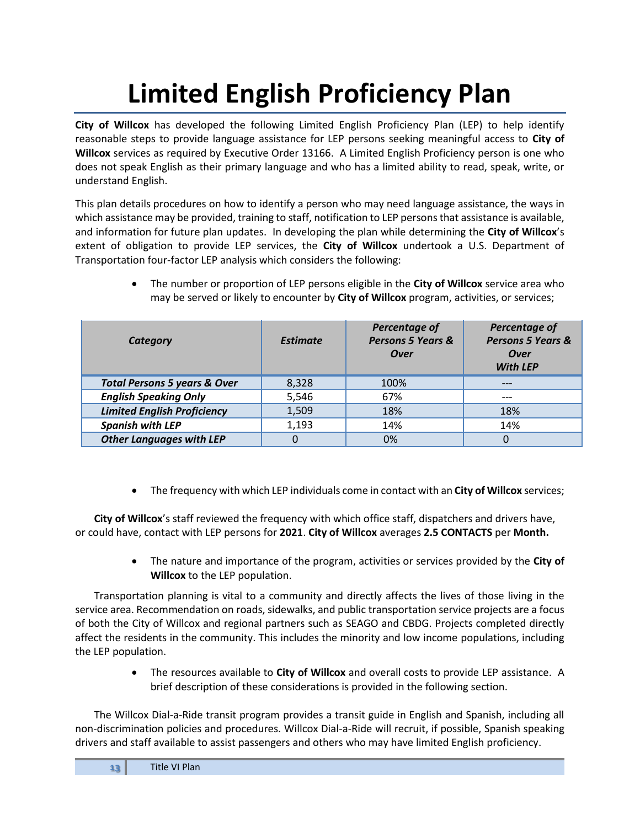## **Limited English Proficiency Plan**

**City of Willcox** has developed the following Limited English Proficiency Plan (LEP) to help identify reasonable steps to provide language assistance for LEP persons seeking meaningful access to **City of Willcox** services as required by Executive Order 13166. A Limited English Proficiency person is one who does not speak English as their primary language and who has a limited ability to read, speak, write, or understand English.

This plan details procedures on how to identify a person who may need language assistance, the ways in which assistance may be provided, training to staff, notification to LEP persons that assistance is available, and information for future plan updates. In developing the plan while determining the **City of Willcox**'s extent of obligation to provide LEP services, the **City of Willcox** undertook a U.S. Department of Transportation four-factor LEP analysis which considers the following:

| Category                                | <b>Estimate</b> | Percentage of<br><b>Persons 5 Years &amp;</b><br><b>Over</b> | Percentage of<br>Persons 5 Years &<br><b>Over</b><br><b>With LEP</b> |
|-----------------------------------------|-----------------|--------------------------------------------------------------|----------------------------------------------------------------------|
| <b>Total Persons 5 years &amp; Over</b> | 8,328           | 100%                                                         |                                                                      |
| <b>English Speaking Only</b>            | 5,546           | 67%                                                          | ---                                                                  |
| <b>Limited English Proficiency</b>      | 1,509           | 18%                                                          | 18%                                                                  |
| <b>Spanish with LEP</b>                 | 1,193           | 14%                                                          | 14%                                                                  |
| <b>Other Languages with LEP</b>         | 0               | 0%                                                           | 0                                                                    |

• The number or proportion of LEP persons eligible in the **City of Willcox** service area who may be served or likely to encounter by **City of Willcox** program, activities, or services;

• The frequency with which LEP individuals come in contact with an **City of Willcox** services;

**City of Willcox**'s staff reviewed the frequency with which office staff, dispatchers and drivers have, or could have, contact with LEP persons for **2021**. **City of Willcox** averages **2.5 CONTACTS** per **Month.**

> • The nature and importance of the program, activities or services provided by the **City of Willcox** to the LEP population.

Transportation planning is vital to a community and directly affects the lives of those living in the service area. Recommendation on roads, sidewalks, and public transportation service projects are a focus of both the City of Willcox and regional partners such as SEAGO and CBDG. Projects completed directly affect the residents in the community. This includes the minority and low income populations, including the LEP population.

> • The resources available to **City of Willcox** and overall costs to provide LEP assistance. A brief description of these considerations is provided in the following section.

The Willcox Dial-a-Ride transit program provides a transit guide in English and Spanish, including all non-discrimination policies and procedures. Willcox Dial-a-Ride will recruit, if possible, Spanish speaking drivers and staff available to assist passengers and others who may have limited English proficiency.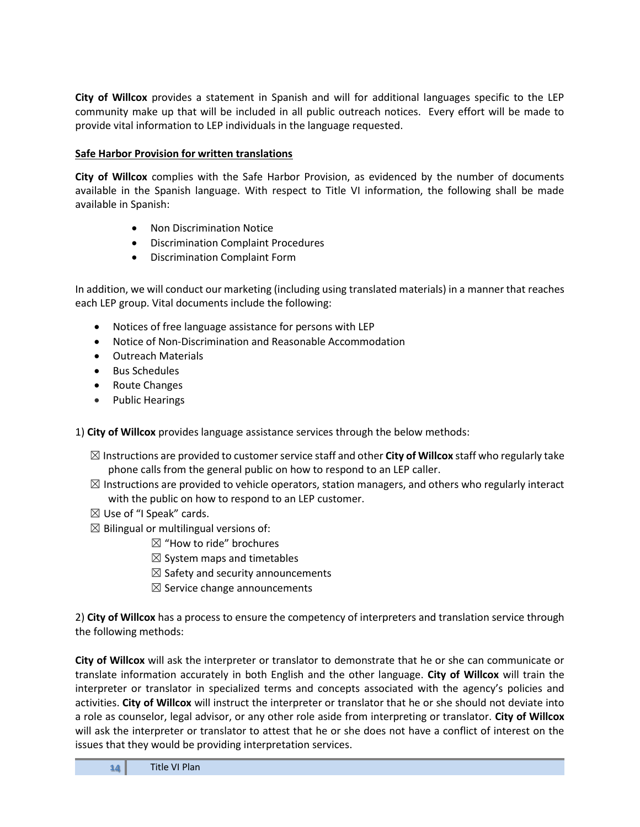**City of Willcox** provides a statement in Spanish and will for additional languages specific to the LEP community make up that will be included in all public outreach notices. Every effort will be made to provide vital information to LEP individuals in the language requested.

#### **Safe Harbor Provision for written translations**

**City of Willcox** complies with the Safe Harbor Provision, as evidenced by the number of documents available in the Spanish language. With respect to Title VI information, the following shall be made available in Spanish:

- Non Discrimination Notice
- Discrimination Complaint Procedures
- Discrimination Complaint Form

In addition, we will conduct our marketing (including using translated materials) in a manner that reaches each LEP group. Vital documents include the following:

- Notices of free language assistance for persons with LEP
- Notice of Non‐Discrimination and Reasonable Accommodation
- Outreach Materials
- Bus Schedules
- Route Changes
- Public Hearings

1) **City of Willcox** provides language assistance services through the below methods:

- ☒ Instructions are provided to customer service staff and other **City of Willcox** staff who regularly take phone calls from the general public on how to respond to an LEP caller.
- $\boxtimes$  Instructions are provided to vehicle operators, station managers, and others who regularly interact with the public on how to respond to an LEP customer.
- $\boxtimes$  Use of "I Speak" cards.
- $\boxtimes$  Bilingual or multilingual versions of:
	- $\boxtimes$  "How to ride" brochures
	- $\boxtimes$  System maps and timetables
	- $\boxtimes$  Safety and security announcements
	- $\boxtimes$  Service change announcements

2) **City of Willcox** has a process to ensure the competency of interpreters and translation service through the following methods:

**City of Willcox** will ask the interpreter or translator to demonstrate that he or she can communicate or translate information accurately in both English and the other language. **City of Willcox** will train the interpreter or translator in specialized terms and concepts associated with the agency's policies and activities. **City of Willcox** will instruct the interpreter or translator that he or she should not deviate into a role as counselor, legal advisor, or any other role aside from interpreting or translator. **City of Willcox** will ask the interpreter or translator to attest that he or she does not have a conflict of interest on the issues that they would be providing interpretation services.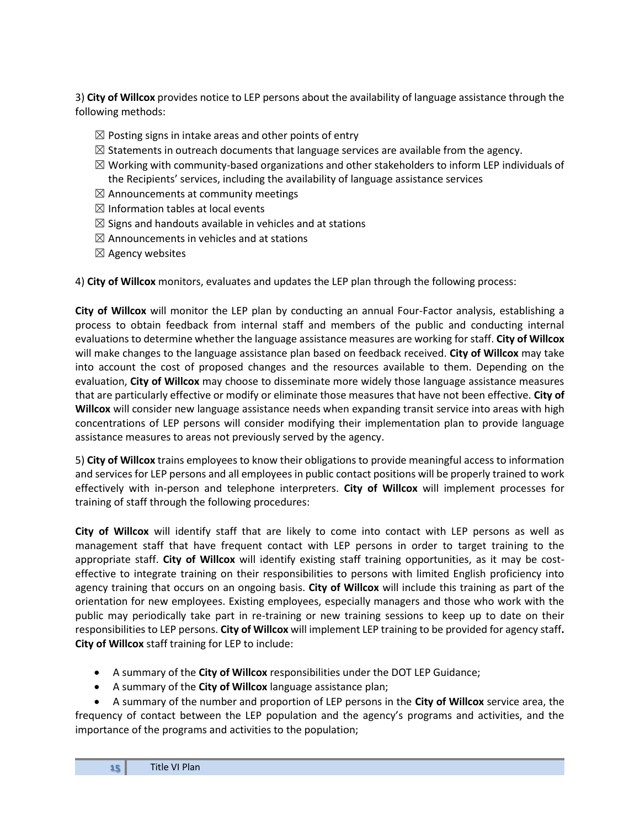3) **City of Willcox** provides notice to LEP persons about the availability of language assistance through the following methods:

- $\boxtimes$  Posting signs in intake areas and other points of entry
- $\boxtimes$  Statements in outreach documents that language services are available from the agency.
- $\boxtimes$  Working with community-based organizations and other stakeholders to inform LEP individuals of the Recipients' services, including the availability of language assistance services
- $\boxtimes$  Announcements at community meetings
- $\boxtimes$  Information tables at local events
- $\boxtimes$  Signs and handouts available in vehicles and at stations
- $\boxtimes$  Announcements in vehicles and at stations
- $\boxtimes$  Agency websites

4) **City of Willcox** monitors, evaluates and updates the LEP plan through the following process:

**City of Willcox** will monitor the LEP plan by conducting an annual Four-Factor analysis, establishing a process to obtain feedback from internal staff and members of the public and conducting internal evaluations to determine whether the language assistance measures are working for staff. **City of Willcox** will make changes to the language assistance plan based on feedback received. **City of Willcox** may take into account the cost of proposed changes and the resources available to them. Depending on the evaluation, **City of Willcox** may choose to disseminate more widely those language assistance measures that are particularly effective or modify or eliminate those measures that have not been effective. **City of Willcox** will consider new language assistance needs when expanding transit service into areas with high concentrations of LEP persons will consider modifying their implementation plan to provide language assistance measures to areas not previously served by the agency.

5) **City of Willcox** trains employees to know their obligations to provide meaningful access to information and services for LEP persons and all employees in public contact positions will be properly trained to work effectively with in-person and telephone interpreters. **City of Willcox** will implement processes for training of staff through the following procedures:

**City of Willcox** will identify staff that are likely to come into contact with LEP persons as well as management staff that have frequent contact with LEP persons in order to target training to the appropriate staff. **City of Willcox** will identify existing staff training opportunities, as it may be costeffective to integrate training on their responsibilities to persons with limited English proficiency into agency training that occurs on an ongoing basis. **City of Willcox** will include this training as part of the orientation for new employees. Existing employees, especially managers and those who work with the public may periodically take part in re-training or new training sessions to keep up to date on their responsibilities to LEP persons. **City of Willcox** will implement LEP training to be provided for agency staff**. City of Willcox** staff training for LEP to include:

- A summary of the **City of Willcox** responsibilities under the DOT LEP Guidance;
- A summary of the **City of Willcox** language assistance plan;

• A summary of the number and proportion of LEP persons in the **City of Willcox** service area, the frequency of contact between the LEP population and the agency's programs and activities, and the importance of the programs and activities to the population;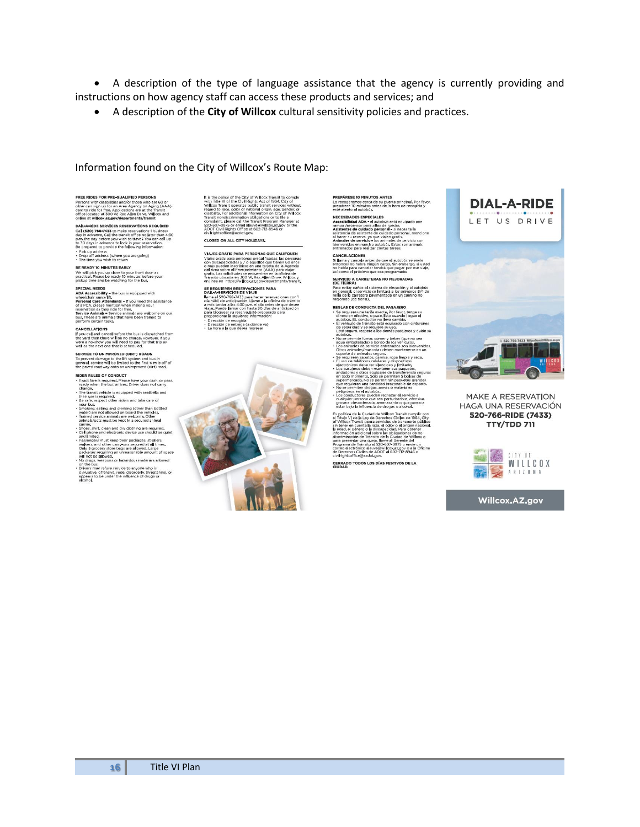• A description of the type of language assistance that the agency is currently providing and instructions on how agency staff can access these products and services; and

• A description of the **City of Willcox** cultural sensitivity policies and practices.

#### Information found on the City of Willcox's Route Map:

**FREE RIDES FOR PRE-QUALIFIED PERSONS**<br>Persons with disabilities and/or those who are 60 or<br>older can sign up for an Area Agency on Aging (AAA)<br>card to ride for free. Applications are at the Transit<br>office located at 300 W

**DAIL-A-PIDE SERVICES RESERVATIONS REQUIRED** 

**DAL-A-RIDE SERVICES RESERVATIONS REQUIRED**<br>Call (**S2O) 766-7433** to make reservations 1 business day<br>Call (**S2O) 766-7433** to make reservations 1 business day<br>in advance to lock in your reservational up<br>to 30 days in adv

BE READY 10 MINUTES EARLY<br>We will pick you up close to your front door as<br>practical. Please be ready 10 minutes before your<br>pickup time and be watching for the bus.

**SPECIAL NEEDS**<br>ADA Accessibility - the bus is equipped with<br>ADA Accessibility - the bus is equipped with<br>wheelchair ramp/lft.<br>Personal Care Attendants - If you need the assistance<br>of a PCA, please mention when making you

**CANCELLATIONS**<br>If you call and cancel before the bus is dispatched from<br>the yard then there will be no charge. However, if you<br>were a no-show you will need to pay for that trip as<br>well as the next one that is scheduled.

SERVICE TO UNIMPROVED (DIRT) ROADS<br>To prevent damage to the lift system and bus in<br>general, service will be limited to the first % mile off of<br>the paved roadway onto an unimproved (dirt) road,

RIDER RULES OF CONDUCT<br>• Exact fare is required. Please have your cash, or pass,<br>ready when the bus arrives. Driver does not carry

treaty when the bus arrives. Driver does not carry<br>change, the matrix which is sculpted with seatisfies and<br>change, as in equivale, is sculpted with seatisfies and<br>there us is required.<br>The case safe, respect other riders

carrier,<br>Shoes, shi<br>Cell phone<br>and limite<br>Passenger ier.<br>es, shirt, clean and dry clothing are required.<br>phone and electronic device use should be quiet

and limited,<br>and strengther proclames are proposed as a proposed passengers must keep their packages, and the<br>comparison of the passence of a proposed as all times,<br>packages requiring an unreasonable amount of space<br>will r

Final recessions or hazardous materials allowed<br>on the bus.<br>Drivers may refuse service to anyone who is<br>disruptive, offensive, rude, disorderly, threatening, or<br>appears to be under the influence of drugs or<br>alcohol.

<span id="page-15-0"></span>

It is the policy of the City of Willcox Transit to comply with Title VI of the City Rights Act of H96. (City Of Willcox Transit connects public transit services without regard to near our connection of each connect of the CLOSED ON ALL CITY HOLIDAYS.

VIA JES GRATIS RARA REDSONAS QUE CALIFOUEN VIAJES GRATIS PARA PERSONAS QUE CALIFQUEN<br>VIAJES GRATIS PREPORAS PRESIDENTES CON CIUSTOS CON CONSIDENCIA DE CONSIDERATO CON CONSIDERATO CON A CONSIDERATO CON ANNO 1915 CHAR SOBRE CHAR SOBRE CHAR SOBRE CHAR SOBRE CHAR SOBRE

SE REQUIEREN RESERVACIONES PARA<br>DAIL-A-SERVICIOS DE VIAJE Datt-web ENVICIOS DE VIAJE<br>
alanea al 520-766-7433 para hacer reservaciones con 1<br>
dia hábil de anticipación, Llame a la diciena de tránsito<br>
a más tardar a las 4:30 p,m, el día antes de que desee<br>
viajar, Puede llamar con · Dirección de recogida<br>· Dirección de entrega (a dónde va)<br>· La hora a la que desea regresar



PREPÁRESE 10 MINUTOS ANTES **PREPÁRESE 10 MINUTOS ANTES<br>Lo recogeremos cerca de su puerta principal. Por favor,<br>prepárese 10 minutos antes de la hora de recogida y<br>esté atento al autobús.** 

este atento al autobus.<br>MEGESIDADES ESPECIALES<br>Accessibilidad ADA- el autobus está equipado con<br>rampa //sicensor para sillas de ruedas.<br>Campa //sicensor para sillas de ruedas.<br>Antinentes de culdado personal. = incensita la

CANCELACIONES<br>Si llama y cancela antes de que el autobús se envíe<br>entonces no había ningún cargo. Sin embargo, si usted<br>no había para cancelar tendrá que pagar por ese viaje,<br>así como el próximo que sea programado.

**SERVICIO A CARRETERAS NO MEJORADAS**<br>(DE T**JE**RRA) (DE TIERRA)<br>Para evitar daños al sistema de elevación y al autobús<br>en general, el servicio se limitará a los primeros 3/4 de<br>milla de la carretera pavimentada en un camino no<br>mejorado (de tierra),

mejorado (de tierra),<br>REGLAS DE CONDUCTA DEL PASAJERO<br>Sarrougio de sinte de sinte de sinte de sinte de sinte de sinte de sinte de sinte de sinte de sinte de sinte d<br>Sarrougio e decirito, o pase, listo cuando llegue el<br>sarc

de seguidad y se requiere su uno.<br>
Est é seguida y se reculier su uno.<br>
Est é seguino, respete a los demás paraieros y cuide su uno respete alos demás paraieros y cuide su vega embotellado à bordo de los vehículos.<br>
«Cos a

velocion de la Clubrecia en trimadam de considerada de la Clubrecia de la Clubrecia de la Clubrecia de la Clubrecia de la Clubrecia de la Clubrecia de la Clubrecia de la Clubrecia de la Clubrecia de la Clubrecia de la Clu

Civilrightsomce@azoot.gov<br>CERRADO TODOS LOS DÍAS FESTIVOS DE LA<br>CIUDAD.



MAKE A RESERVATION HAGA UNA RESERVACIÓN 520-766-RIDE (7433) **TTY/TDD 711** 



Willcox.AZ.gov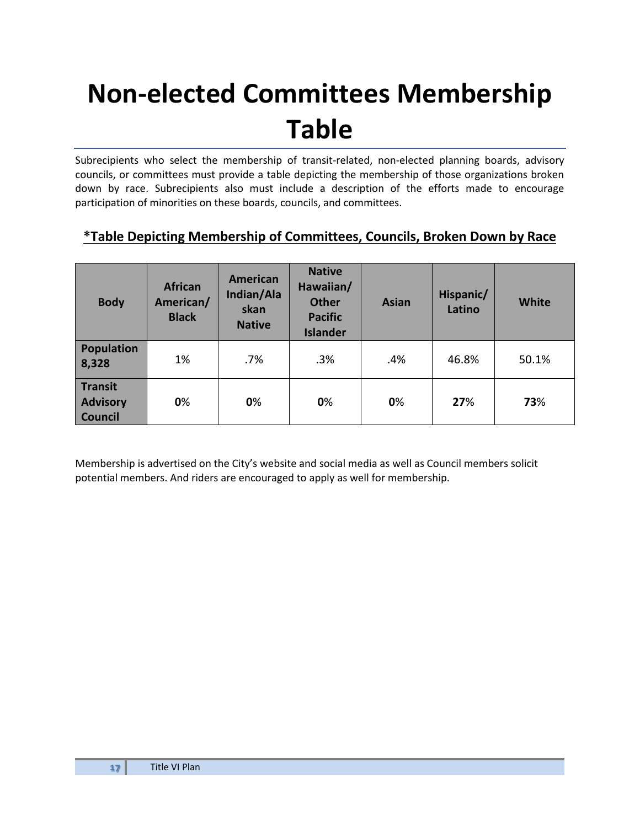### **Non-elected Committees Membership Table**

Subrecipients who select the membership of transit-related, non-elected planning boards, advisory councils, or committees must provide a table depicting the membership of those organizations broken down by race. Subrecipients also must include a description of the efforts made to encourage participation of minorities on these boards, councils, and committees.

### **\*Table Depicting Membership of Committees, Councils, Broken Down by Race**

| <b>Body</b>                                  | <b>African</b><br>American/<br><b>Black</b> | <b>American</b><br>Indian/Ala<br>skan<br><b>Native</b> | <b>Native</b><br>Hawaiian/<br><b>Other</b><br><b>Pacific</b><br><b>Islander</b> | <b>Asian</b> | Hispanic/<br>Latino | <b>White</b> |
|----------------------------------------------|---------------------------------------------|--------------------------------------------------------|---------------------------------------------------------------------------------|--------------|---------------------|--------------|
| <b>Population</b><br>8,328                   | 1%                                          | .7%                                                    | .3%                                                                             | .4%          | 46.8%               | 50.1%        |
| Transit<br><b>Advisory</b><br><b>Council</b> | 0%                                          | 0%                                                     | 0%                                                                              | 0%           | 27%                 | 73%          |

<span id="page-16-0"></span>Membership is advertised on the City's website and social media as well as Council members solicit potential members. And riders are encouraged to apply as well for membership.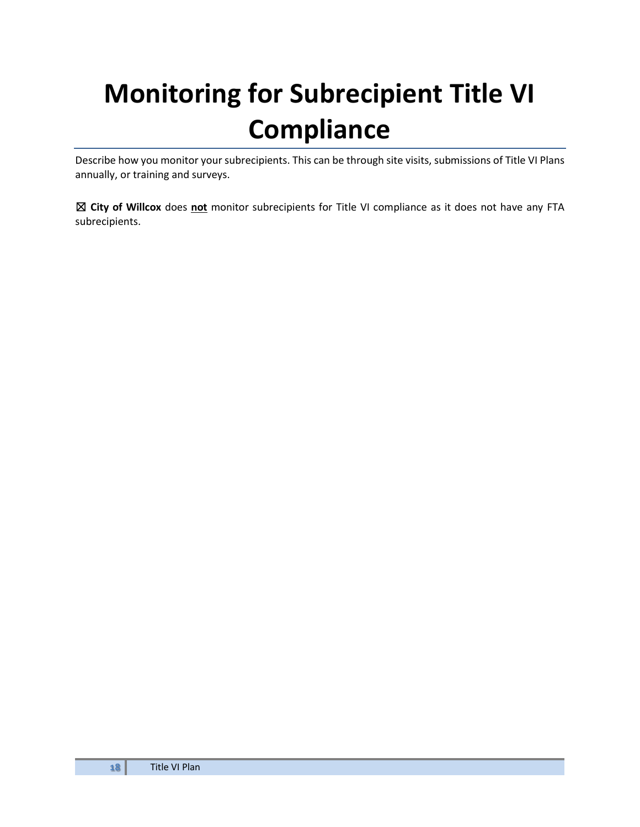## **Monitoring for Subrecipient Title VI Compliance**

Describe how you monitor your subrecipients. This can be through site visits, submissions of Title VI Plans annually, or training and surveys.

<span id="page-17-0"></span>☒ **City of Willcox** does **not** monitor subrecipients for Title VI compliance as it does not have any FTA subrecipients.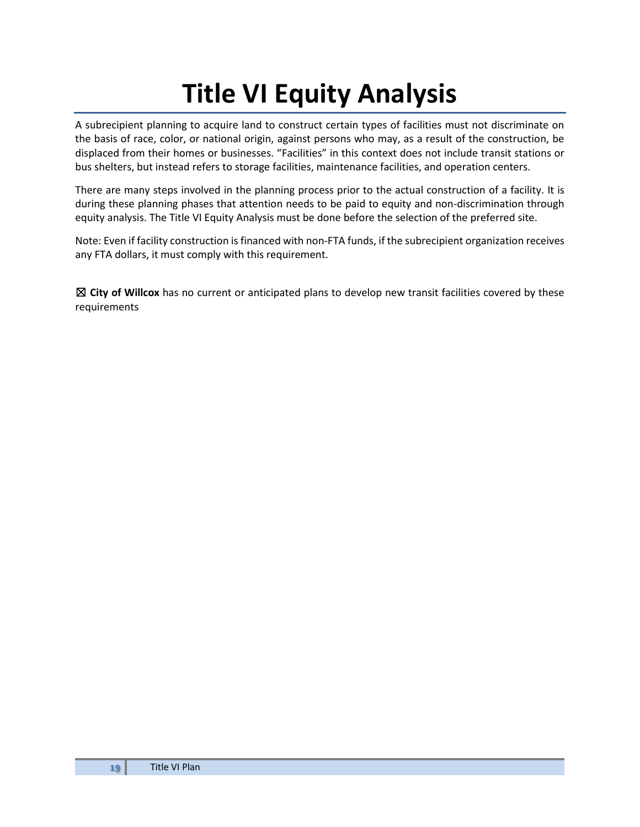### **Title VI Equity Analysis**

A subrecipient planning to acquire land to construct certain types of facilities must not discriminate on the basis of race, color, or national origin, against persons who may, as a result of the construction, be displaced from their homes or businesses. "Facilities" in this context does not include transit stations or bus shelters, but instead refers to storage facilities, maintenance facilities, and operation centers.

There are many steps involved in the planning process prior to the actual construction of a facility. It is during these planning phases that attention needs to be paid to equity and non-discrimination through equity analysis. The Title VI Equity Analysis must be done before the selection of the preferred site.

Note: Even if facility construction is financed with non-FTA funds, if the subrecipient organization receives any FTA dollars, it must comply with this requirement.

<span id="page-18-0"></span>☒ **City of Willcox** has no current or anticipated plans to develop new transit facilities covered by these requirements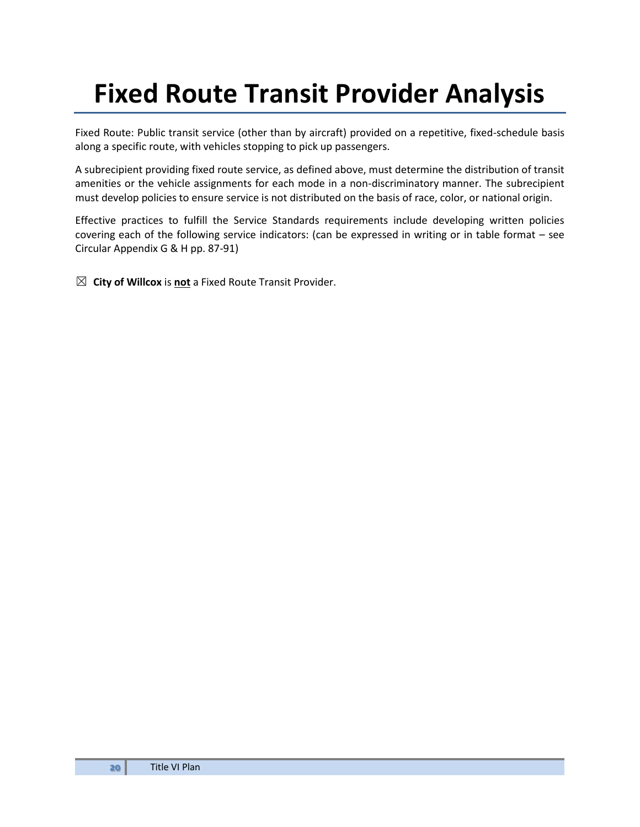### **Fixed Route Transit Provider Analysis**

Fixed Route: Public transit service (other than by aircraft) provided on a repetitive, fixed-schedule basis along a specific route, with vehicles stopping to pick up passengers.

A subrecipient providing fixed route service, as defined above, must determine the distribution of transit amenities or the vehicle assignments for each mode in a non-discriminatory manner. The subrecipient must develop policies to ensure service is not distributed on the basis of race, color, or national origin.

Effective practices to fulfill the Service Standards requirements include developing written policies covering each of the following service indicators: (can be expressed in writing or in table format – see Circular Appendix G & H pp. 87-91)

<span id="page-19-0"></span>☒ **City of Willcox** is **not** a Fixed Route Transit Provider.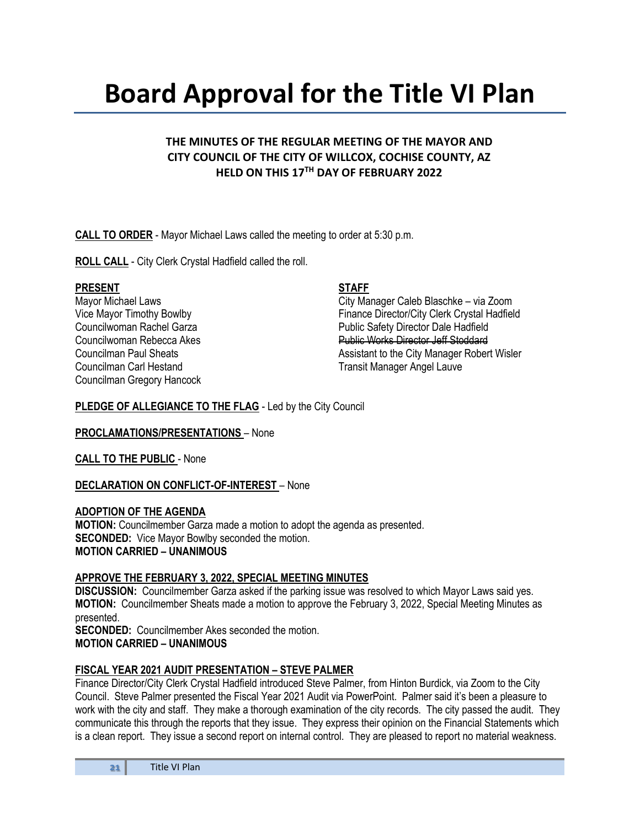### **Board Approval for the Title VI Plan**

#### **THE MINUTES OF THE REGULAR MEETING OF THE MAYOR AND CITY COUNCIL OF THE CITY OF WILLCOX, COCHISE COUNTY, AZ HELD ON THIS 17TH DAY OF FEBRUARY 2022**

**CALL TO ORDER** - Mayor Michael Laws called the meeting to order at 5:30 p.m.

**ROLL CALL** - City Clerk Crystal Hadfield called the roll.

#### PRESENT STAFF

Councilman Carl Hestand **Transit Manager Angel Lauve** Councilman Gregory Hancock

Mayor Michael Laws City Manager Caleb Blaschke – via Zoom Vice Mayor Timothy Bowlby Finance Director/City Clerk Crystal Hadfield Councilwoman Rachel Garza **Public Safety Director Dale Hadfield** Councilwoman Rebecca Akes **Public Works Director Jeff Stoddard** Councilman Paul Sheats **Assistant to the City Manager Robert Wisler** Assistant to the City Manager Robert Wisler

#### **PLEDGE OF ALLEGIANCE TO THE FLAG** - Led by the City Council

**PROCLAMATIONS/PRESENTATIONS** – None

**CALL TO THE PUBLIC** - None

#### **DECLARATION ON CONFLICT-OF-INTEREST** – None

#### **ADOPTION OF THE AGENDA**

**MOTION:** Councilmember Garza made a motion to adopt the agenda as presented. **SECONDED:** Vice Mayor Bowlby seconded the motion. **MOTION CARRIED – UNANIMOUS**

#### **APPROVE THE FEBRUARY 3, 2022, SPECIAL MEETING MINUTES**

**DISCUSSION:** Councilmember Garza asked if the parking issue was resolved to which Mayor Laws said yes. **MOTION:** Councilmember Sheats made a motion to approve the February 3, 2022, Special Meeting Minutes as presented.

**SECONDED:** Councilmember Akes seconded the motion. **MOTION CARRIED – UNANIMOUS**

#### **FISCAL YEAR 2021 AUDIT PRESENTATION – STEVE PALMER**

Finance Director/City Clerk Crystal Hadfield introduced Steve Palmer, from Hinton Burdick, via Zoom to the City Council. Steve Palmer presented the Fiscal Year 2021 Audit via PowerPoint. Palmer said it's been a pleasure to work with the city and staff. They make a thorough examination of the city records. The city passed the audit. They communicate this through the reports that they issue. They express their opinion on the Financial Statements which is a clean report. They issue a second report on internal control. They are pleased to report no material weakness.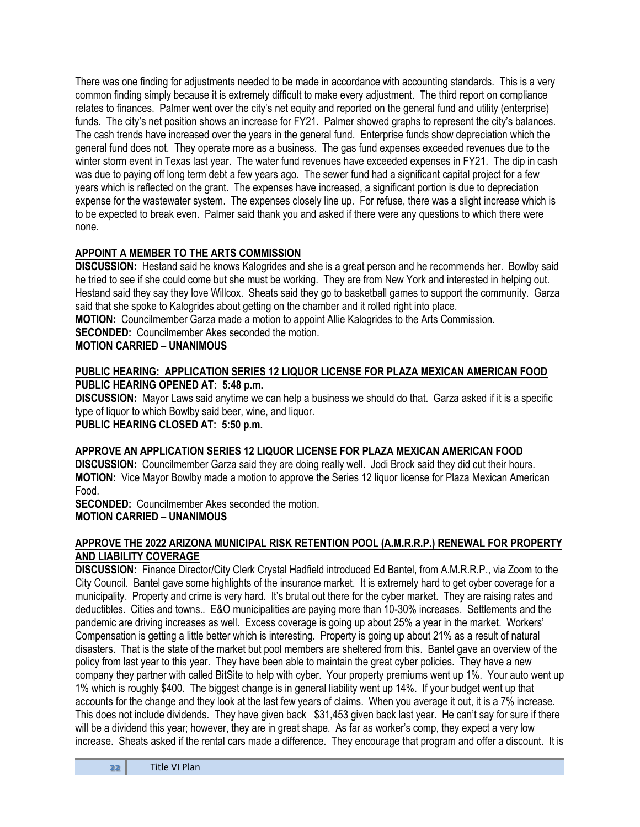There was one finding for adjustments needed to be made in accordance with accounting standards. This is a very common finding simply because it is extremely difficult to make every adjustment. The third report on compliance relates to finances. Palmer went over the city's net equity and reported on the general fund and utility (enterprise) funds. The city's net position shows an increase for FY21. Palmer showed graphs to represent the city's balances. The cash trends have increased over the years in the general fund. Enterprise funds show depreciation which the general fund does not. They operate more as a business. The gas fund expenses exceeded revenues due to the winter storm event in Texas last year. The water fund revenues have exceeded expenses in FY21. The dip in cash was due to paying off long term debt a few years ago. The sewer fund had a significant capital project for a few years which is reflected on the grant. The expenses have increased, a significant portion is due to depreciation expense for the wastewater system. The expenses closely line up. For refuse, there was a slight increase which is to be expected to break even. Palmer said thank you and asked if there were any questions to which there were none.

#### **APPOINT A MEMBER TO THE ARTS COMMISSION**

**DISCUSSION:** Hestand said he knows Kalogrides and she is a great person and he recommends her. Bowlby said he tried to see if she could come but she must be working. They are from New York and interested in helping out. Hestand said they say they love Willcox. Sheats said they go to basketball games to support the community. Garza said that she spoke to Kalogrides about getting on the chamber and it rolled right into place.

**MOTION:** Councilmember Garza made a motion to appoint Allie Kalogrides to the Arts Commission. **SECONDED:** Councilmember Akes seconded the motion.

#### **MOTION CARRIED – UNANIMOUS**

#### **PUBLIC HEARING: APPLICATION SERIES 12 LIQUOR LICENSE FOR PLAZA MEXICAN AMERICAN FOOD PUBLIC HEARING OPENED AT: 5:48 p.m.**

**DISCUSSION:** Mayor Laws said anytime we can help a business we should do that. Garza asked if it is a specific type of liquor to which Bowlby said beer, wine, and liquor. **PUBLIC HEARING CLOSED AT: 5:50 p.m.**

#### **APPROVE AN APPLICATION SERIES 12 LIQUOR LICENSE FOR PLAZA MEXICAN AMERICAN FOOD**

**DISCUSSION:** Councilmember Garza said they are doing really well. Jodi Brock said they did cut their hours. **MOTION:** Vice Mayor Bowlby made a motion to approve the Series 12 liquor license for Plaza Mexican American Food.

**SECONDED:** Councilmember Akes seconded the motion.

#### **MOTION CARRIED – UNANIMOUS**

#### **APPROVE THE 2022 ARIZONA MUNICIPAL RISK RETENTION POOL (A.M.R.R.P.) RENEWAL FOR PROPERTY AND LIABILITY COVERAGE**

**DISCUSSION:** Finance Director/City Clerk Crystal Hadfield introduced Ed Bantel, from A.M.R.R.P., via Zoom to the City Council. Bantel gave some highlights of the insurance market. It is extremely hard to get cyber coverage for a municipality. Property and crime is very hard. It's brutal out there for the cyber market. They are raising rates and deductibles. Cities and towns.. E&O municipalities are paying more than 10-30% increases. Settlements and the pandemic are driving increases as well. Excess coverage is going up about 25% a year in the market. Workers' Compensation is getting a little better which is interesting. Property is going up about 21% as a result of natural disasters. That is the state of the market but pool members are sheltered from this. Bantel gave an overview of the policy from last year to this year. They have been able to maintain the great cyber policies. They have a new company they partner with called BitSite to help with cyber. Your property premiums went up 1%. Your auto went up 1% which is roughly \$400. The biggest change is in general liability went up 14%. If your budget went up that accounts for the change and they look at the last few years of claims. When you average it out, it is a 7% increase. This does not include dividends. They have given back \$31,453 given back last year. He can't say for sure if there will be a dividend this year; however, they are in great shape. As far as worker's comp, they expect a very low increase. Sheats asked if the rental cars made a difference. They encourage that program and offer a discount. It is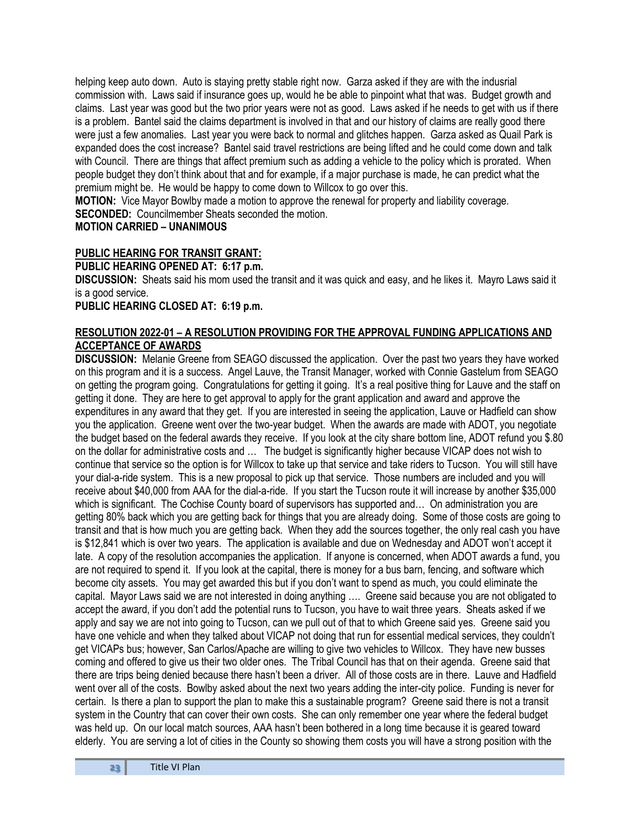helping keep auto down. Auto is staying pretty stable right now. Garza asked if they are with the indusrial commission with. Laws said if insurance goes up, would he be able to pinpoint what that was. Budget growth and claims. Last year was good but the two prior years were not as good. Laws asked if he needs to get with us if there is a problem. Bantel said the claims department is involved in that and our history of claims are really good there were just a few anomalies. Last year you were back to normal and glitches happen. Garza asked as Quail Park is expanded does the cost increase? Bantel said travel restrictions are being lifted and he could come down and talk with Council. There are things that affect premium such as adding a vehicle to the policy which is prorated. When people budget they don't think about that and for example, if a major purchase is made, he can predict what the premium might be. He would be happy to come down to Willcox to go over this.

**MOTION:** Vice Mayor Bowlby made a motion to approve the renewal for property and liability coverage.

**SECONDED:** Councilmember Sheats seconded the motion.

#### **MOTION CARRIED – UNANIMOUS**

#### **PUBLIC HEARING FOR TRANSIT GRANT:**

**PUBLIC HEARING OPENED AT: 6:17 p.m.**

**DISCUSSION:** Sheats said his mom used the transit and it was quick and easy, and he likes it. Mayro Laws said it is a good service.

#### **PUBLIC HEARING CLOSED AT: 6:19 p.m.**

#### **RESOLUTION 2022-01 – A RESOLUTION PROVIDING FOR THE APPROVAL FUNDING APPLICATIONS AND ACCEPTANCE OF AWARDS**

**DISCUSSION:** Melanie Greene from SEAGO discussed the application. Over the past two years they have worked on this program and it is a success. Angel Lauve, the Transit Manager, worked with Connie Gastelum from SEAGO on getting the program going. Congratulations for getting it going. It's a real positive thing for Lauve and the staff on getting it done. They are here to get approval to apply for the grant application and award and approve the expenditures in any award that they get. If you are interested in seeing the application, Lauve or Hadfield can show you the application. Greene went over the two-year budget. When the awards are made with ADOT, you negotiate the budget based on the federal awards they receive. If you look at the city share bottom line, ADOT refund you \$.80 on the dollar for administrative costs and … The budget is significantly higher because VICAP does not wish to continue that service so the option is for Willcox to take up that service and take riders to Tucson. You will still have your dial-a-ride system. This is a new proposal to pick up that service. Those numbers are included and you will receive about \$40,000 from AAA for the dial-a-ride. If you start the Tucson route it will increase by another \$35,000 which is significant. The Cochise County board of supervisors has supported and... On administration you are getting 80% back which you are getting back for things that you are already doing. Some of those costs are going to transit and that is how much you are getting back. When they add the sources together, the only real cash you have is \$12,841 which is over two years. The application is available and due on Wednesday and ADOT won't accept it late. A copy of the resolution accompanies the application. If anyone is concerned, when ADOT awards a fund, you are not required to spend it. If you look at the capital, there is money for a bus barn, fencing, and software which become city assets. You may get awarded this but if you don't want to spend as much, you could eliminate the capital. Mayor Laws said we are not interested in doing anything …. Greene said because you are not obligated to accept the award, if you don't add the potential runs to Tucson, you have to wait three years. Sheats asked if we apply and say we are not into going to Tucson, can we pull out of that to which Greene said yes. Greene said you have one vehicle and when they talked about VICAP not doing that run for essential medical services, they couldn't get VICAPs bus; however, San Carlos/Apache are willing to give two vehicles to Willcox. They have new busses coming and offered to give us their two older ones. The Tribal Council has that on their agenda. Greene said that there are trips being denied because there hasn't been a driver. All of those costs are in there. Lauve and Hadfield went over all of the costs. Bowlby asked about the next two years adding the inter-city police. Funding is never for certain. Is there a plan to support the plan to make this a sustainable program? Greene said there is not a transit system in the Country that can cover their own costs. She can only remember one year where the federal budget was held up. On our local match sources, AAA hasn't been bothered in a long time because it is geared toward elderly. You are serving a lot of cities in the County so showing them costs you will have a strong position with the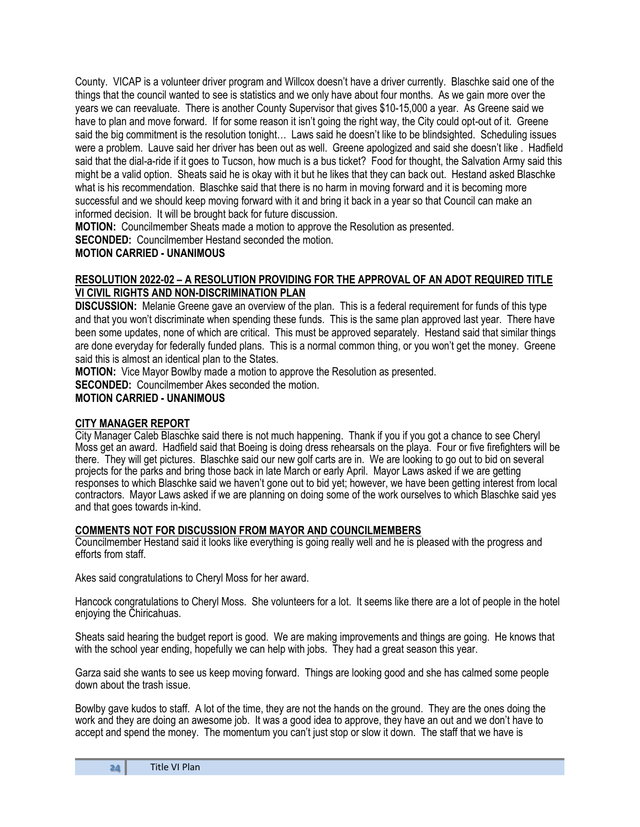County. VICAP is a volunteer driver program and Willcox doesn't have a driver currently. Blaschke said one of the things that the council wanted to see is statistics and we only have about four months. As we gain more over the years we can reevaluate. There is another County Supervisor that gives \$10-15,000 a year. As Greene said we have to plan and move forward. If for some reason it isn't going the right way, the City could opt-out of it. Greene said the big commitment is the resolution tonight… Laws said he doesn't like to be blindsighted. Scheduling issues were a problem. Lauve said her driver has been out as well. Greene apologized and said she doesn't like . Hadfield said that the dial-a-ride if it goes to Tucson, how much is a bus ticket? Food for thought, the Salvation Army said this might be a valid option. Sheats said he is okay with it but he likes that they can back out. Hestand asked Blaschke what is his recommendation. Blaschke said that there is no harm in moving forward and it is becoming more successful and we should keep moving forward with it and bring it back in a year so that Council can make an informed decision. It will be brought back for future discussion.

**MOTION:** Councilmember Sheats made a motion to approve the Resolution as presented.

**SECONDED:** Councilmember Hestand seconded the motion.

#### **MOTION CARRIED - UNANIMOUS**

#### **RESOLUTION 2022-02 – A RESOLUTION PROVIDING FOR THE APPROVAL OF AN ADOT REQUIRED TITLE VI CIVIL RIGHTS AND NON-DISCRIMINATION PLAN**

**DISCUSSION:** Melanie Greene gave an overview of the plan. This is a federal requirement for funds of this type and that you won't discriminate when spending these funds. This is the same plan approved last year. There have been some updates, none of which are critical. This must be approved separately. Hestand said that similar things are done everyday for federally funded plans. This is a normal common thing, or you won't get the money. Greene said this is almost an identical plan to the States.

**MOTION:** Vice Mayor Bowlby made a motion to approve the Resolution as presented.

**SECONDED:** Councilmember Akes seconded the motion.

#### **MOTION CARRIED - UNANIMOUS**

#### **CITY MANAGER REPORT**

City Manager Caleb Blaschke said there is not much happening. Thank if you if you got a chance to see Cheryl Moss get an award. Hadfield said that Boeing is doing dress rehearsals on the playa. Four or five firefighters will be there. They will get pictures. Blaschke said our new golf carts are in. We are looking to go out to bid on several projects for the parks and bring those back in late March or early April. Mayor Laws asked if we are getting responses to which Blaschke said we haven't gone out to bid yet; however, we have been getting interest from local contractors. Mayor Laws asked if we are planning on doing some of the work ourselves to which Blaschke said yes and that goes towards in-kind.

#### **COMMENTS NOT FOR DISCUSSION FROM MAYOR AND COUNCILMEMBERS**

Councilmember Hestand said it looks like everything is going really well and he is pleased with the progress and efforts from staff.

Akes said congratulations to Cheryl Moss for her award.

Hancock congratulations to Cheryl Moss. She volunteers for a lot. It seems like there are a lot of people in the hotel enjoying the Chiricahuas.

Sheats said hearing the budget report is good. We are making improvements and things are going. He knows that with the school year ending, hopefully we can help with jobs. They had a great season this year.

Garza said she wants to see us keep moving forward. Things are looking good and she has calmed some people down about the trash issue.

Bowlby gave kudos to staff. A lot of the time, they are not the hands on the ground. They are the ones doing the work and they are doing an awesome job. It was a good idea to approve, they have an out and we don't have to accept and spend the money. The momentum you can't just stop or slow it down. The staff that we have is